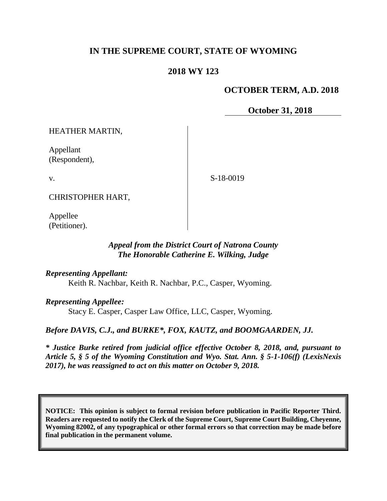# **IN THE SUPREME COURT, STATE OF WYOMING**

### **2018 WY 123**

### **OCTOBER TERM, A.D. 2018**

**October 31, 2018**

HEATHER MARTIN,

Appellant (Respondent),

v.

S-18-0019

CHRISTOPHER HART,

Appellee (Petitioner).

### *Appeal from the District Court of Natrona County The Honorable Catherine E. Wilking, Judge*

*Representing Appellant:*

Keith R. Nachbar, Keith R. Nachbar, P.C., Casper, Wyoming.

*Representing Appellee:*

Stacy E. Casper, Casper Law Office, LLC, Casper, Wyoming.

*Before DAVIS, C.J., and BURKE\*, FOX, KAUTZ, and BOOMGAARDEN, JJ.*

*\* Justice Burke retired from judicial office effective October 8, 2018, and, pursuant to Article 5, § 5 of the Wyoming Constitution and Wyo. Stat. Ann. § 5-1-106(f) (LexisNexis 2017), he was reassigned to act on this matter on October 9, 2018.*

**NOTICE: This opinion is subject to formal revision before publication in Pacific Reporter Third. Readers are requested to notify the Clerk of the Supreme Court, Supreme Court Building, Cheyenne, Wyoming 82002, of any typographical or other formal errors so that correction may be made before final publication in the permanent volume.**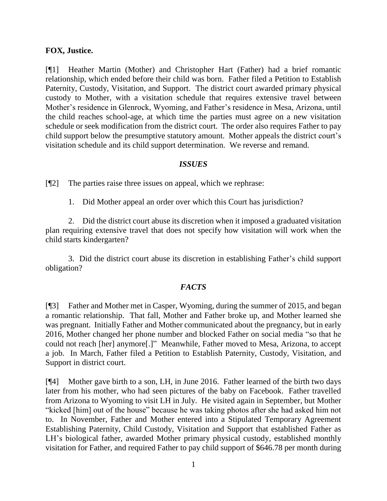### **FOX, Justice.**

[¶1] Heather Martin (Mother) and Christopher Hart (Father) had a brief romantic relationship, which ended before their child was born. Father filed a Petition to Establish Paternity, Custody, Visitation, and Support. The district court awarded primary physical custody to Mother, with a visitation schedule that requires extensive travel between Mother's residence in Glenrock, Wyoming, and Father's residence in Mesa, Arizona, until the child reaches school-age, at which time the parties must agree on a new visitation schedule or seek modification from the district court. The order also requires Father to pay child support below the presumptive statutory amount. Mother appeals the district court's visitation schedule and its child support determination. We reverse and remand.

### *ISSUES*

[¶2] The parties raise three issues on appeal, which we rephrase:

1. Did Mother appeal an order over which this Court has jurisdiction?

2. Did the district court abuse its discretion when it imposed a graduated visitation plan requiring extensive travel that does not specify how visitation will work when the child starts kindergarten?

3. Did the district court abuse its discretion in establishing Father's child support obligation?

# *FACTS*

[¶3] Father and Mother met in Casper, Wyoming, during the summer of 2015, and began a romantic relationship. That fall, Mother and Father broke up, and Mother learned she was pregnant. Initially Father and Mother communicated about the pregnancy, but in early 2016, Mother changed her phone number and blocked Father on social media "so that he could not reach [her] anymore[.]" Meanwhile, Father moved to Mesa, Arizona, to accept a job. In March, Father filed a Petition to Establish Paternity, Custody, Visitation, and Support in district court.

[¶4] Mother gave birth to a son, LH, in June 2016. Father learned of the birth two days later from his mother, who had seen pictures of the baby on Facebook. Father travelled from Arizona to Wyoming to visit LH in July. He visited again in September, but Mother "kicked [him] out of the house" because he was taking photos after she had asked him not to. In November, Father and Mother entered into a Stipulated Temporary Agreement Establishing Paternity, Child Custody, Visitation and Support that established Father as LH's biological father, awarded Mother primary physical custody, established monthly visitation for Father, and required Father to pay child support of \$646.78 per month during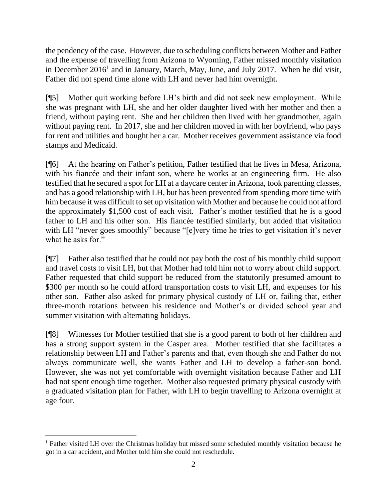the pendency of the case. However, due to scheduling conflicts between Mother and Father and the expense of travelling from Arizona to Wyoming, Father missed monthly visitation in December  $2016<sup>1</sup>$  and in January, March, May, June, and July 2017. When he did visit, Father did not spend time alone with LH and never had him overnight.

[¶5] Mother quit working before LH's birth and did not seek new employment. While she was pregnant with LH, she and her older daughter lived with her mother and then a friend, without paying rent. She and her children then lived with her grandmother, again without paying rent. In 2017, she and her children moved in with her boyfriend, who pays for rent and utilities and bought her a car. Mother receives government assistance via food stamps and Medicaid.

[¶6] At the hearing on Father's petition, Father testified that he lives in Mesa, Arizona, with his fiancée and their infant son, where he works at an engineering firm. He also testified that he secured a spot for LH at a daycare center in Arizona, took parenting classes, and has a good relationship with LH, but has been prevented from spending more time with him because it was difficult to set up visitation with Mother and because he could not afford the approximately \$1,500 cost of each visit. Father's mother testified that he is a good father to LH and his other son. His fiancée testified similarly, but added that visitation with LH "never goes smoothly" because "[e]very time he tries to get visitation it's never what he asks for."

[¶7] Father also testified that he could not pay both the cost of his monthly child support and travel costs to visit LH, but that Mother had told him not to worry about child support. Father requested that child support be reduced from the statutorily presumed amount to \$300 per month so he could afford transportation costs to visit LH, and expenses for his other son. Father also asked for primary physical custody of LH or, failing that, either three-month rotations between his residence and Mother's or divided school year and summer visitation with alternating holidays.

[¶8] Witnesses for Mother testified that she is a good parent to both of her children and has a strong support system in the Casper area. Mother testified that she facilitates a relationship between LH and Father's parents and that, even though she and Father do not always communicate well, she wants Father and LH to develop a father-son bond. However, she was not yet comfortable with overnight visitation because Father and LH had not spent enough time together. Mother also requested primary physical custody with a graduated visitation plan for Father, with LH to begin travelling to Arizona overnight at age four.

 <sup>1</sup> Father visited LH over the Christmas holiday but missed some scheduled monthly visitation because he got in a car accident, and Mother told him she could not reschedule.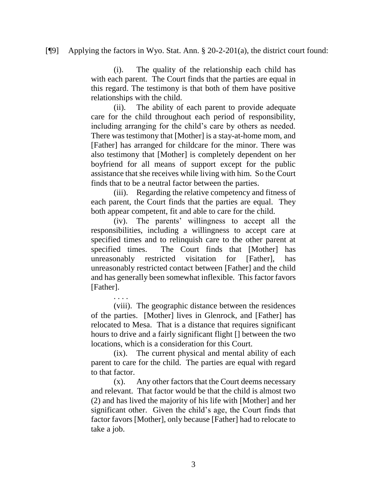#### [¶9] Applying the factors in Wyo. Stat. Ann. § 20-2-201(a), the district court found:

(i). The quality of the relationship each child has with each parent. The Court finds that the parties are equal in this regard. The testimony is that both of them have positive relationships with the child.

(ii). The ability of each parent to provide adequate care for the child throughout each period of responsibility, including arranging for the child's care by others as needed. There was testimony that [Mother] is a stay-at-home mom, and [Father] has arranged for childcare for the minor. There was also testimony that [Mother] is completely dependent on her boyfriend for all means of support except for the public assistance that she receives while living with him. So the Court finds that to be a neutral factor between the parties.

(iii). Regarding the relative competency and fitness of each parent, the Court finds that the parties are equal. They both appear competent, fit and able to care for the child.

(iv). The parents' willingness to accept all the responsibilities, including a willingness to accept care at specified times and to relinquish care to the other parent at specified times. The Court finds that [Mother] has unreasonably restricted visitation for [Father], has unreasonably restricted contact between [Father] and the child and has generally been somewhat inflexible. This factor favors [Father].

. . . .

(viii). The geographic distance between the residences of the parties. [Mother] lives in Glenrock, and [Father] has relocated to Mesa. That is a distance that requires significant hours to drive and a fairly significant flight [] between the two locations, which is a consideration for this Court.

(ix). The current physical and mental ability of each parent to care for the child. The parties are equal with regard to that factor.

(x). Any other factors that the Court deems necessary and relevant. That factor would be that the child is almost two (2) and has lived the majority of his life with [Mother] and her significant other. Given the child's age, the Court finds that factor favors [Mother], only because [Father] had to relocate to take a job.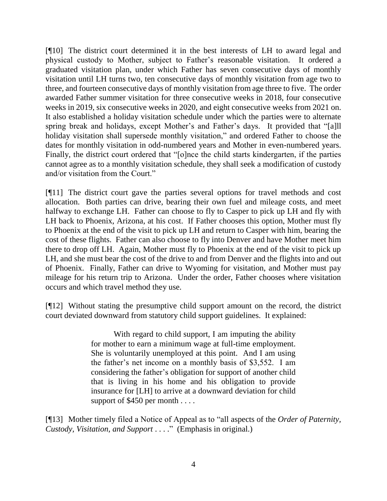[¶10] The district court determined it in the best interests of LH to award legal and physical custody to Mother, subject to Father's reasonable visitation. It ordered a graduated visitation plan, under which Father has seven consecutive days of monthly visitation until LH turns two, ten consecutive days of monthly visitation from age two to three, and fourteen consecutive days of monthly visitation from age three to five. The order awarded Father summer visitation for three consecutive weeks in 2018, four consecutive weeks in 2019, six consecutive weeks in 2020, and eight consecutive weeks from 2021 on. It also established a holiday visitation schedule under which the parties were to alternate spring break and holidays, except Mother's and Father's days. It provided that "[a]ll holiday visitation shall supersede monthly visitation," and ordered Father to choose the dates for monthly visitation in odd-numbered years and Mother in even-numbered years. Finally, the district court ordered that "[o]nce the child starts kindergarten, if the parties cannot agree as to a monthly visitation schedule, they shall seek a modification of custody and/or visitation from the Court."

[¶11] The district court gave the parties several options for travel methods and cost allocation. Both parties can drive, bearing their own fuel and mileage costs, and meet halfway to exchange LH. Father can choose to fly to Casper to pick up LH and fly with LH back to Phoenix, Arizona, at his cost. If Father chooses this option, Mother must fly to Phoenix at the end of the visit to pick up LH and return to Casper with him, bearing the cost of these flights. Father can also choose to fly into Denver and have Mother meet him there to drop off LH. Again, Mother must fly to Phoenix at the end of the visit to pick up LH, and she must bear the cost of the drive to and from Denver and the flights into and out of Phoenix. Finally, Father can drive to Wyoming for visitation, and Mother must pay mileage for his return trip to Arizona. Under the order, Father chooses where visitation occurs and which travel method they use.

[¶12] Without stating the presumptive child support amount on the record, the district court deviated downward from statutory child support guidelines. It explained:

> With regard to child support, I am imputing the ability for mother to earn a minimum wage at full-time employment. She is voluntarily unemployed at this point. And I am using the father's net income on a monthly basis of \$3,552. I am considering the father's obligation for support of another child that is living in his home and his obligation to provide insurance for [LH] to arrive at a downward deviation for child support of \$450 per month . . . .

[¶13] Mother timely filed a Notice of Appeal as to "all aspects of the *Order of Paternity, Custody, Visitation, and Support* . . . ." (Emphasis in original.)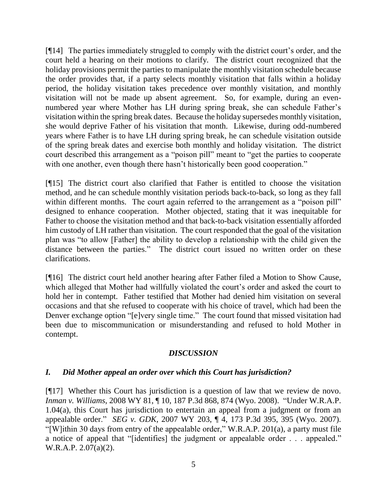[¶14] The parties immediately struggled to comply with the district court's order, and the court held a hearing on their motions to clarify. The district court recognized that the holiday provisions permit the parties to manipulate the monthly visitation schedule because the order provides that, if a party selects monthly visitation that falls within a holiday period, the holiday visitation takes precedence over monthly visitation, and monthly visitation will not be made up absent agreement. So, for example, during an evennumbered year where Mother has LH during spring break, she can schedule Father's visitation within the spring break dates. Because the holiday supersedes monthly visitation, she would deprive Father of his visitation that month. Likewise, during odd-numbered years where Father is to have LH during spring break, he can schedule visitation outside of the spring break dates and exercise both monthly and holiday visitation. The district court described this arrangement as a "poison pill" meant to "get the parties to cooperate with one another, even though there hasn't historically been good cooperation."

[¶15] The district court also clarified that Father is entitled to choose the visitation method, and he can schedule monthly visitation periods back-to-back, so long as they fall within different months. The court again referred to the arrangement as a "poison pill" designed to enhance cooperation. Mother objected, stating that it was inequitable for Father to choose the visitation method and that back-to-back visitation essentially afforded him custody of LH rather than visitation. The court responded that the goal of the visitation plan was "to allow [Father] the ability to develop a relationship with the child given the distance between the parties." The district court issued no written order on these clarifications.

[¶16] The district court held another hearing after Father filed a Motion to Show Cause, which alleged that Mother had willfully violated the court's order and asked the court to hold her in contempt. Father testified that Mother had denied him visitation on several occasions and that she refused to cooperate with his choice of travel, which had been the Denver exchange option "[e]very single time." The court found that missed visitation had been due to miscommunication or misunderstanding and refused to hold Mother in contempt.

# *DISCUSSION*

# *I. Did Mother appeal an order over which this Court has jurisdiction?*

[¶17] Whether this Court has jurisdiction is a question of law that we review de novo. *Inman v. Williams*, 2008 WY 81, ¶ 10, 187 P.3d 868, 874 (Wyo. 2008). "Under W.R.A.P. 1.04(a), this Court has jurisdiction to entertain an appeal from a judgment or from an appealable order." *SEG v. GDK*, 2007 WY 203, ¶ 4, 173 P.3d 395, 395 (Wyo. 2007). "[W]ithin 30 days from entry of the appealable order," W.R.A.P. 201(a), a party must file a notice of appeal that "[identifies] the judgment or appealable order . . . appealed." W.R.A.P. 2.07(a)(2).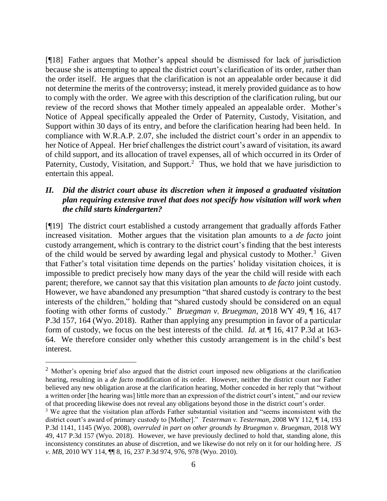[¶18] Father argues that Mother's appeal should be dismissed for lack of jurisdiction because she is attempting to appeal the district court's clarification of its order, rather than the order itself. He argues that the clarification is not an appealable order because it did not determine the merits of the controversy; instead, it merely provided guidance as to how to comply with the order. We agree with this description of the clarification ruling, but our review of the record shows that Mother timely appealed an appealable order. Mother's Notice of Appeal specifically appealed the Order of Paternity, Custody, Visitation, and Support within 30 days of its entry, and before the clarification hearing had been held. In compliance with W.R.A.P. 2.07, she included the district court's order in an appendix to her Notice of Appeal. Her brief challenges the district court's award of visitation, its award of child support, and its allocation of travel expenses, all of which occurred in its Order of Paternity, Custody, Visitation, and Support.<sup>2</sup> Thus, we hold that we have jurisdiction to entertain this appeal.

# *II. Did the district court abuse its discretion when it imposed a graduated visitation plan requiring extensive travel that does not specify how visitation will work when the child starts kindergarten?*

[¶19] The district court established a custody arrangement that gradually affords Father increased visitation. Mother argues that the visitation plan amounts to a *de facto* joint custody arrangement, which is contrary to the district court's finding that the best interests of the child would be served by awarding legal and physical custody to Mother.<sup>3</sup> Given that Father's total visitation time depends on the parties' holiday visitation choices, it is impossible to predict precisely how many days of the year the child will reside with each parent; therefore, we cannot say that this visitation plan amounts to *de facto* joint custody. However, we have abandoned any presumption "that shared custody is contrary to the best interests of the children," holding that "shared custody should be considered on an equal footing with other forms of custody." *Bruegman v. Bruegman*, 2018 WY 49, ¶ 16, 417 P.3d 157, 164 (Wyo. 2018). Rather than applying any presumption in favor of a particular form of custody, we focus on the best interests of the child. *Id.* at ¶ 16, 417 P.3d at 163- 64. We therefore consider only whether this custody arrangement is in the child's best interest.

<sup>&</sup>lt;sup>2</sup> Mother's opening brief also argued that the district court imposed new obligations at the clarification hearing, resulting in a *de facto* modification of its order. However, neither the district court nor Father believed any new obligation arose at the clarification hearing, Mother conceded in her reply that "without a written order [the hearing was] little more than an expression of the district court's intent," and our review of that proceeding likewise does not reveal any obligations beyond those in the district court's order.

<sup>&</sup>lt;sup>3</sup> We agree that the visitation plan affords Father substantial visitation and "seems inconsistent with the district court's award of primary custody to [Mother]." *Testerman v. Testerman*, 2008 WY 112, ¶ 14, 193 P.3d 1141, 1145 (Wyo. 2008), *overruled in part on other grounds by Bruegman v. Bruegman*, 2018 WY 49, 417 P.3d 157 (Wyo. 2018). However, we have previously declined to hold that, standing alone, this inconsistency constitutes an abuse of discretion, and we likewise do not rely on it for our holding here. *JS v. MB*, 2010 WY 114, ¶¶ 8, 16, 237 P.3d 974, 976, 978 (Wyo. 2010).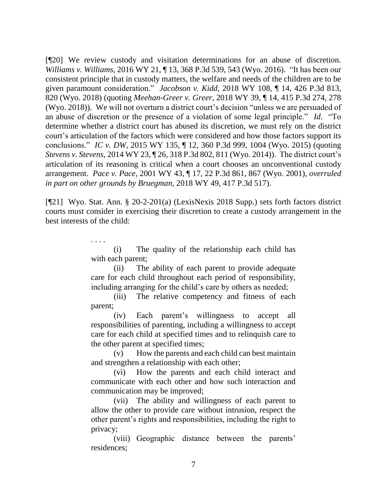[¶20] We review custody and visitation determinations for an abuse of discretion. *Williams v. Williams*, 2016 WY 21, ¶ 13, 368 P.3d 539, 543 (Wyo. 2016). "It has been our consistent principle that in custody matters, the welfare and needs of the children are to be given paramount consideration." *Jacobson v. Kidd*, 2018 WY 108, ¶ 14, 426 P.3d 813, 820 (Wyo. 2018) (quoting *Meehan-Greer v. Greer*, 2018 WY 39, ¶ 14, 415 P.3d 274, 278 (Wyo. 2018)). We will not overturn a district court's decision "unless we are persuaded of an abuse of discretion or the presence of a violation of some legal principle." *Id*."To determine whether a district court has abused its discretion, we must rely on the district court's articulation of the factors which were considered and how those factors support its conclusions." *IC v. DW*, 2015 WY 135, ¶ 12, 360 P.3d 999, 1004 (Wyo. 2015) (quoting *Stevens v. Stevens*, 2014 WY 23, ¶ 26, 318 P.3d 802, 811 (Wyo. 2014)). The district court's articulation of its reasoning is critical when a court chooses an unconventional custody arrangement. *Pace v. Pace*, 2001 WY 43, ¶ 17, 22 P.3d 861, 867 (Wyo. 2001), *overruled in part on other grounds by Bruegman*, 2018 WY 49, 417 P.3d 517).

[¶21] Wyo. Stat. Ann. § 20-2-201(a) (LexisNexis 2018 Supp.) sets forth factors district courts must consider in exercising their discretion to create a custody arrangement in the best interests of the child:

> (i) The quality of the relationship each child has with each parent;

. . . .

(ii) The ability of each parent to provide adequate care for each child throughout each period of responsibility, including arranging for the child's care by others as needed;

(iii) The relative competency and fitness of each parent;

(iv) Each parent's willingness to accept all responsibilities of parenting, including a willingness to accept care for each child at specified times and to relinquish care to the other parent at specified times;

(v) How the parents and each child can best maintain and strengthen a relationship with each other;

(vi) How the parents and each child interact and communicate with each other and how such interaction and communication may be improved;

(vii) The ability and willingness of each parent to allow the other to provide care without intrusion, respect the other parent's rights and responsibilities, including the right to privacy;

(viii) Geographic distance between the parents' residences;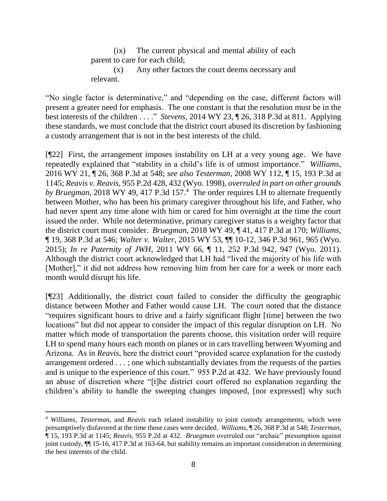(ix) The current physical and mental ability of each parent to care for each child;

(x) Any other factors the court deems necessary and relevant.

"No single factor is determinative," and "depending on the case, different factors will present a greater need for emphasis. The one constant is that the resolution must be in the best interests of the children . . . ." *Stevens*, 2014 WY 23, ¶ 26, 318 P.3d at 811. Applying these standards, we must conclude that the district court abused its discretion by fashioning a custody arrangement that is not in the best interests of the child.

[¶22] First, the arrangement imposes instability on LH at a very young age. We have repeatedly explained that "stability in a child's life is of utmost importance." *Williams*, 2016 WY 21, ¶ 26, 368 P.3d at 548; *see also Testerman*, 2008 WY 112, ¶ 15, 193 P.3d at 1145; *Reavis v. Reavis*, 955 P.2d 428, 432 (Wyo. 1998), *overruled in part on other grounds*  by *Bruegman*, 2018 WY 49, 417 P.3d 157.<sup>4</sup> The order requires LH to alternate frequently between Mother, who has been his primary caregiver throughout his life, and Father, who had never spent any time alone with him or cared for him overnight at the time the court issued the order. While not determinative, primary caregiver status is a weighty factor that the district court must consider. *Bruegman*, 2018 WY 49, ¶ 41, 417 P.3d at 170; *Williams*, ¶ 19, 368 P.3d at 546; *Walter v. Walter*, 2015 WY 53, ¶¶ 10-12, 346 P.3d 961, 965 (Wyo. 2015); *In re Paternity of JWH*, 2011 WY 66, ¶ 11, 252 P.3d 942, 947 (Wyo. 2011). Although the district court acknowledged that LH had "lived the majority of his life with [Mother]," it did not address how removing him from her care for a week or more each month would disrupt his life.

[¶23] Additionally, the district court failed to consider the difficulty the geographic distance between Mother and Father would cause LH. The court noted that the distance "requires significant hours to drive and a fairly significant flight [time] between the two locations" but did not appear to consider the impact of this regular disruption on LH. No matter which mode of transportation the parents choose, this visitation order will require LH to spend many hours each month on planes or in cars travelling between Wyoming and Arizona. As in *Reavis*, here the district court "provided scarce explanation for the custody arrangement ordered . . . ; one which substantially deviates from the requests of the parties and is unique to the experience of this court." 955 P.2d at 432. We have previously found an abuse of discretion where "[t]he district court offered no explanation regarding the children's ability to handle the sweeping changes imposed, [nor expressed] why such

 <sup>4</sup> *Williams*, *Testerman*, and *Reavis* each related instability to joint custody arrangements, which were presumptively disfavored at the time those cases were decided. *Williams*, ¶ 26, 368 P.3d at 548; *Testerman*, ¶ 15, 193 P.3d at 1145; *Reavis*, 955 P.2d at 432. *Bruegman* overruled our "archaic" presumption against joint custody, ¶¶ 15-16, 417 P.3d at 163-64, but stability remains an important consideration in determining the best interests of the child.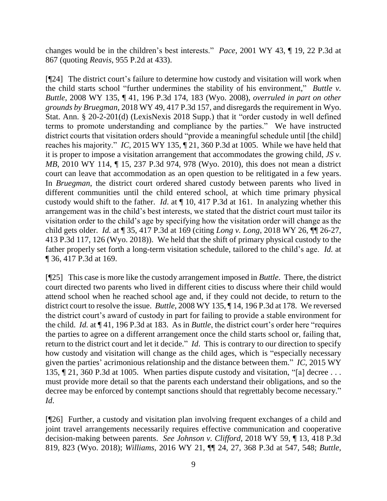changes would be in the children's best interests." *Pace*, 2001 WY 43, ¶ 19, 22 P.3d at 867 (quoting *Reavis*, 955 P.2d at 433).

[¶24] The district court's failure to determine how custody and visitation will work when the child starts school "further undermines the stability of his environment," *Buttle v. Buttle*, 2008 WY 135, ¶ 41, 196 P.3d 174, 183 (Wyo. 2008), *overruled in part on other grounds by Bruegman*, 2018 WY 49, 417 P.3d 157, and disregards the requirement in Wyo. Stat. Ann. § 20-2-201(d) (LexisNexis 2018 Supp.) that it "order custody in well defined terms to promote understanding and compliance by the parties." We have instructed district courts that visitation orders should "provide a meaningful schedule until [the child] reaches his majority." *IC*, 2015 WY 135, ¶ 21, 360 P.3d at 1005. While we have held that it is proper to impose a visitation arrangement that accommodates the growing child, *JS v. MB*, 2010 WY 114, ¶ 15, 237 P.3d 974, 978 (Wyo. 2010), this does not mean a district court can leave that accommodation as an open question to be relitigated in a few years. In *Bruegman*, the district court ordered shared custody between parents who lived in different communities until the child entered school, at which time primary physical custody would shift to the father. *Id*. at ¶ 10, 417 P.3d at 161. In analyzing whether this arrangement was in the child's best interests, we stated that the district court must tailor its visitation order to the child's age by specifying how the visitation order will change as the child gets older. *Id.* at ¶ 35, 417 P.3d at 169 (citing *Long v. Long*, 2018 WY 26, ¶¶ 26-27, 413 P.3d 117, 126 (Wyo. 2018)). We held that the shift of primary physical custody to the father properly set forth a long-term visitation schedule, tailored to the child's age. *Id.* at ¶ 36, 417 P.3d at 169.

[¶25] This case is more like the custody arrangement imposed in *Buttle*. There, the district court directed two parents who lived in different cities to discuss where their child would attend school when he reached school age and, if they could not decide, to return to the district court to resolve the issue. *Buttle*, 2008 WY 135, ¶ 14, 196 P.3d at 178. We reversed the district court's award of custody in part for failing to provide a stable environment for the child. *Id.* at ¶ 41, 196 P.3d at 183. As in *Buttle*, the district court's order here "requires the parties to agree on a different arrangement once the child starts school or, failing that, return to the district court and let it decide." *Id*. This is contrary to our direction to specify how custody and visitation will change as the child ages, which is "especially necessary given the parties' acrimonious relationship and the distance between them." *IC*, 2015 WY 135, ¶ 21, 360 P.3d at 1005. When parties dispute custody and visitation, "[a] decree . . . must provide more detail so that the parents each understand their obligations, and so the decree may be enforced by contempt sanctions should that regrettably become necessary." *Id*.

[¶26] Further, a custody and visitation plan involving frequent exchanges of a child and joint travel arrangements necessarily requires effective communication and cooperative decision-making between parents. *See Johnson v. Clifford*, 2018 WY 59, ¶ 13, 418 P.3d 819, 823 (Wyo. 2018); *Williams*, 2016 WY 21, ¶¶ 24, 27, 368 P.3d at 547, 548; *Buttle*,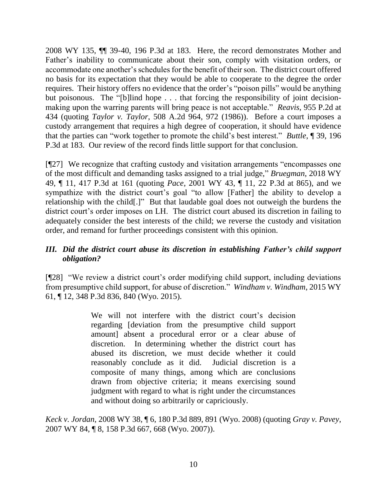2008 WY 135, ¶¶ 39-40, 196 P.3d at 183. Here, the record demonstrates Mother and Father's inability to communicate about their son, comply with visitation orders, or accommodate one another's schedules for the benefit of their son. The district court offered no basis for its expectation that they would be able to cooperate to the degree the order requires. Their history offers no evidence that the order's "poison pills" would be anything but poisonous. The "[b]lind hope . . . that forcing the responsibility of joint decisionmaking upon the warring parents will bring peace is not acceptable." *Reavis*, 955 P.2d at 434 (quoting *Taylor v. Taylor*, 508 A.2d 964, 972 (1986)). Before a court imposes a custody arrangement that requires a high degree of cooperation, it should have evidence that the parties can "work together to promote the child's best interest." *Buttle*, ¶ 39, 196 P.3d at 183. Our review of the record finds little support for that conclusion.

[¶27] We recognize that crafting custody and visitation arrangements "encompasses one of the most difficult and demanding tasks assigned to a trial judge," *Bruegman*, 2018 WY 49, ¶ 11, 417 P.3d at 161 (quoting *Pace*, 2001 WY 43, ¶ 11, 22 P.3d at 865), and we sympathize with the district court's goal "to allow [Father] the ability to develop a relationship with the child[.]" But that laudable goal does not outweigh the burdens the district court's order imposes on LH. The district court abused its discretion in failing to adequately consider the best interests of the child; we reverse the custody and visitation order, and remand for further proceedings consistent with this opinion.

# *III. Did the district court abuse its discretion in establishing Father's child support obligation?*

[¶28] "We review a district court's order modifying child support, including deviations from presumptive child support, for abuse of discretion." *Windham v. Windham*, 2015 WY 61, ¶ 12, 348 P.3d 836, 840 (Wyo. 2015).

> We will not interfere with the district court's decision regarding [deviation from the presumptive child support amount] absent a procedural error or a clear abuse of discretion. In determining whether the district court has abused its discretion, we must decide whether it could reasonably conclude as it did. Judicial discretion is a composite of many things, among which are conclusions drawn from objective criteria; it means exercising sound judgment with regard to what is right under the circumstances and without doing so arbitrarily or capriciously.

*Keck v. Jordan*, 2008 WY 38, ¶ 6, 180 P.3d 889, 891 (Wyo. 2008) (quoting *Gray v. Pavey*, 2007 WY 84, ¶ 8, 158 P.3d 667, 668 (Wyo. 2007)).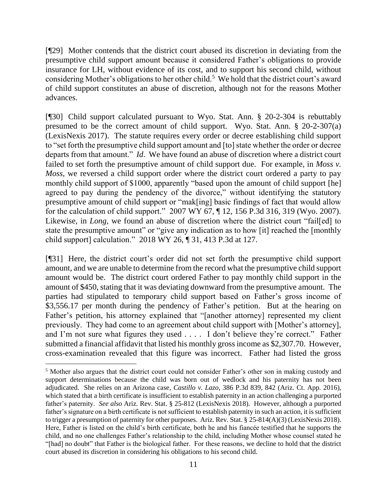[¶29] Mother contends that the district court abused its discretion in deviating from the presumptive child support amount because it considered Father's obligations to provide insurance for LH, without evidence of its cost, and to support his second child, without considering Mother's obligations to her other child.<sup>5</sup> We hold that the district court's award of child support constitutes an abuse of discretion, although not for the reasons Mother advances.

[¶30] Child support calculated pursuant to Wyo. Stat. Ann. § 20-2-304 is rebuttably presumed to be the correct amount of child support. Wyo. Stat. Ann. § 20-2-307(a) (LexisNexis 2017). The statute requires every order or decree establishing child support to "set forth the presumptive child support amount and [to] state whether the order or decree departs from that amount." *Id*. We have found an abuse of discretion where a district court failed to set forth the presumptive amount of child support due. For example, in *Moss v. Moss*, we reversed a child support order where the district court ordered a party to pay monthly child support of \$1000, apparently "based upon the amount of child support [he] agreed to pay during the pendency of the divorce," without identifying the statutory presumptive amount of child support or "mak[ing] basic findings of fact that would allow for the calculation of child support." 2007 WY 67, ¶ 12, 156 P.3d 316, 319 (Wyo. 2007). Likewise, in *Long*, we found an abuse of discretion where the district court "fail[ed] to state the presumptive amount" or "give any indication as to how [it] reached the [monthly child support] calculation." 2018 WY 26, ¶ 31, 413 P.3d at 127.

[¶31] Here, the district court's order did not set forth the presumptive child support amount, and we are unable to determine from the record what the presumptive child support amount would be. The district court ordered Father to pay monthly child support in the amount of \$450, stating that it was deviating downward from the presumptive amount. The parties had stipulated to temporary child support based on Father's gross income of \$3,556.17 per month during the pendency of Father's petition. But at the hearing on Father's petition, his attorney explained that "[another attorney] represented my client previously. They had come to an agreement about child support with [Mother's attorney], and I'm not sure what figures they used . . . . I don't believe they're correct." Father submitted a financial affidavit that listed his monthly gross income as \$2,307.70. However, cross-examination revealed that this figure was incorrect. Father had listed the gross

<sup>5</sup> Mother also argues that the district court could not consider Father's other son in making custody and support determinations because the child was born out of wedlock and his paternity has not been adjudicated. She relies on an Arizona case, *Castillo v. Lazo*, 386 P.3d 839, 842 (Ariz. Ct. App. 2016), which stated that a birth certificate is insufficient to establish paternity in an action challenging a purported father's paternity. *See also* Ariz. Rev. Stat. § 25-812 (LexisNexis 2018). However, although a purported father's signature on a birth certificate is not sufficient to establish paternity in such an action, it is sufficient to trigger a presumption of paternity for other purposes. Ariz. Rev. Stat. § 25-814(A)(3) (LexisNexis 2018). Here, Father is listed on the child's birth certificate, both he and his fiancée testified that he supports the child, and no one challenges Father's relationship to the child, including Mother whose counsel stated he "[had] no doubt" that Father is the biological father. For these reasons, we decline to hold that the district court abused its discretion in considering his obligations to his second child.